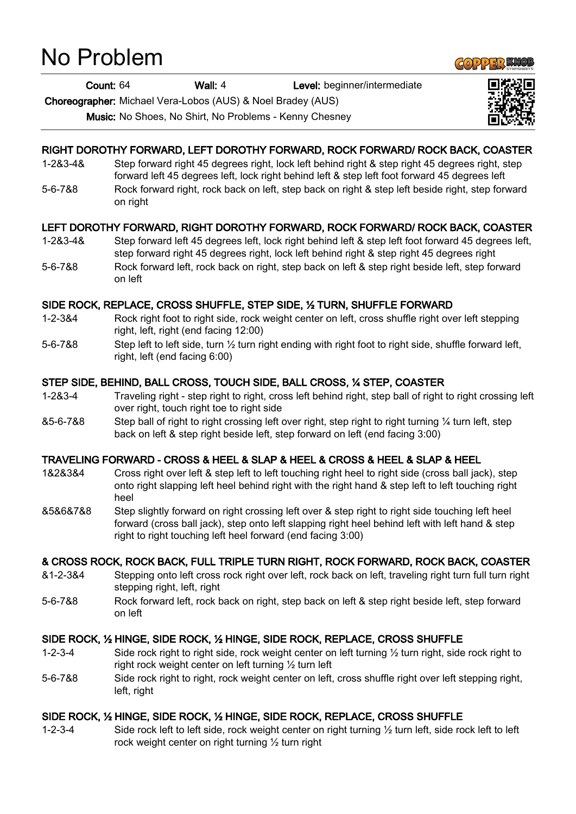# No Problem

Count: 64 Wall: 4 Level: beginner/intermediate

Choreographer: Michael Vera-Lobos (AUS) & Noel Bradey (AUS)

Music: No Shoes, No Shirt, No Problems - Kenny Chesney

## RIGHT DOROTHY FORWARD, LEFT DOROTHY FORWARD, ROCK FORWARD/ ROCK BACK, COASTER

- 1-2&3-4& Step forward right 45 degrees right, lock left behind right & step right 45 degrees right, step forward left 45 degrees left, lock right behind left & step left foot forward 45 degrees left 5-6-7&8 Rock forward right, rock back on left, step back on right & step left beside right, step forward
	- on right

## LEFT DOROTHY FORWARD, RIGHT DOROTHY FORWARD, ROCK FORWARD/ ROCK BACK, COASTER

- 1-2&3-4& Step forward left 45 degrees left, lock right behind left & step left foot forward 45 degrees left, step forward right 45 degrees right, lock left behind right & step right 45 degrees right
- 5-6-7&8 Rock forward left, rock back on right, step back on left & step right beside left, step forward on left

## SIDE ROCK, REPLACE, CROSS SHUFFLE, STEP SIDE, ½ TURN, SHUFFLE FORWARD

- 1-2-3&4 Rock right foot to right side, rock weight center on left, cross shuffle right over left stepping right, left, right (end facing 12:00)
- 5-6-7&8 Step left to left side, turn ½ turn right ending with right foot to right side, shuffle forward left, right, left (end facing 6:00)

## STEP SIDE, BEHIND, BALL CROSS, TOUCH SIDE, BALL CROSS, ¼ STEP, COASTER

- 1-2&3-4 Traveling right step right to right, cross left behind right, step ball of right to right crossing left over right, touch right toe to right side
- &5-6-7&8 Step ball of right to right crossing left over right, step right to right turning ¼ turn left, step back on left & step right beside left, step forward on left (end facing 3:00)

# TRAVELING FORWARD - CROSS & HEEL & SLAP & HEEL & CROSS & HEEL & SLAP & HEEL

- 1&2&3&4 Cross right over left & step left to left touching right heel to right side (cross ball jack), step onto right slapping left heel behind right with the right hand & step left to left touching right heel
- &5&6&7&8 Step slightly forward on right crossing left over & step right to right side touching left heel forward (cross ball jack), step onto left slapping right heel behind left with left hand & step right to right touching left heel forward (end facing 3:00)

## & CROSS ROCK, ROCK BACK, FULL TRIPLE TURN RIGHT, ROCK FORWARD, ROCK BACK, COASTER

- &1-2-3&4 Stepping onto left cross rock right over left, rock back on left, traveling right turn full turn right stepping right, left, right
- 5-6-7&8 Rock forward left, rock back on right, step back on left & step right beside left, step forward on left

# SIDE ROCK, ½ HINGE, SIDE ROCK, ½ HINGE, SIDE ROCK, REPLACE, CROSS SHUFFLE

- 1-2-3-4 Side rock right to right side, rock weight center on left turning ½ turn right, side rock right to right rock weight center on left turning ½ turn left
- 5-6-7&8 Side rock right to right, rock weight center on left, cross shuffle right over left stepping right, left, right

# SIDE ROCK, ½ HINGE, SIDE ROCK, ½ HINGE, SIDE ROCK, REPLACE, CROSS SHUFFLE

1-2-3-4 Side rock left to left side, rock weight center on right turning ½ turn left, side rock left to left rock weight center on right turning ½ turn right